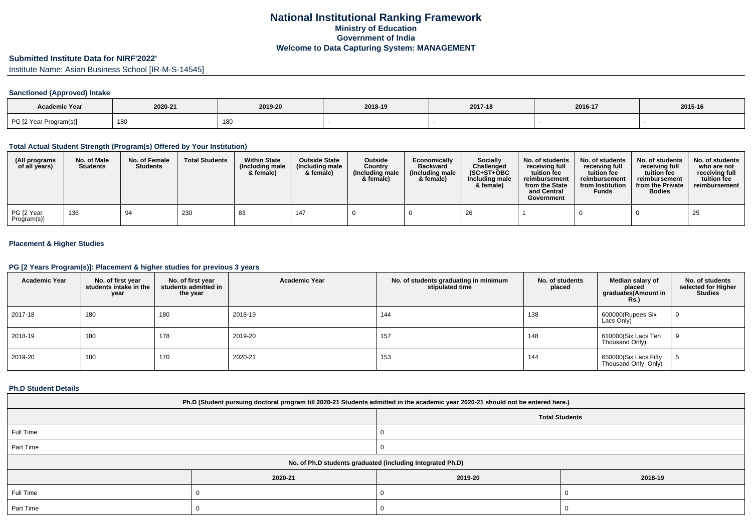# **Submitted Institute Data for NIRF'2022'**

Institute Name: Asian Business School [IR-M-S-14545]

## **Sanctioned (Approved) Intake**

| <b>Academic Year</b>   |         |         |         |         |         |         |
|------------------------|---------|---------|---------|---------|---------|---------|
|                        | 2020-21 | 2019-20 | 2018-19 | 2017-18 | 2016-17 | 2015-16 |
| PG [2 Year Program(s)] | 180     | 180     |         |         |         |         |

### **Total Actual Student Strength (Program(s) Offered by Your Institution)**

| (All programs<br>of all years) | No. of Male<br><b>Students</b> | No. of Female<br><b>Students</b> | <b>Total Students</b> | <b>Within State</b><br>(Including male<br>& female) | <b>Outside State</b><br>(Including male)<br>& female) | <b>Outside</b><br>Country<br>(Including male<br>& female) | Economically<br><b>Backward</b><br>(Including male<br>& female) | <b>Socially</b><br>Challenged<br>$(SC+ST+OBC$<br>Including male<br>& female) | No. of students<br>receiving full<br>tuition fee<br>reimbursement<br>from the State<br>and Central<br>Government | No. of students<br>receiving full<br>tuition fee<br>reimbursement<br>from Institution<br><b>Funds</b> | No. of students<br>receiving full<br>tuition fee<br>reimbursement<br>from the Private<br><b>Bodies</b> | No. of students<br>who are not<br>receiving full<br>tuition fee<br>reimbursement |
|--------------------------------|--------------------------------|----------------------------------|-----------------------|-----------------------------------------------------|-------------------------------------------------------|-----------------------------------------------------------|-----------------------------------------------------------------|------------------------------------------------------------------------------|------------------------------------------------------------------------------------------------------------------|-------------------------------------------------------------------------------------------------------|--------------------------------------------------------------------------------------------------------|----------------------------------------------------------------------------------|
| PG [2 Year<br>Program(s)]      | 136                            | 94                               | 230                   | 83                                                  | 147                                                   |                                                           |                                                                 | 26                                                                           |                                                                                                                  |                                                                                                       |                                                                                                        | 25                                                                               |

## **Placement & Higher Studies**

## **PG [2 Years Program(s)]: Placement & higher studies for previous 3 years**

| <b>Academic Year</b> | No. of first year<br>students intake in the<br>year | No. of first vear<br>students admitted in<br>the year | <b>Academic Year</b> | No. of students graduating in minimum<br>stipulated time | No. of students<br>placed | Median salary of<br>placed<br>graduates(Amount in<br><b>Rs.)</b> | No. of students<br>selected for Higher<br><b>Studies</b> |
|----------------------|-----------------------------------------------------|-------------------------------------------------------|----------------------|----------------------------------------------------------|---------------------------|------------------------------------------------------------------|----------------------------------------------------------|
| 2017-18              | 180                                                 | 180                                                   | 2018-19              | 144                                                      | 138                       | 600000(Rupees Six<br>Lacs Only)                                  | $\mathbf{0}$                                             |
| 2018-19              | 180                                                 | 178                                                   | 2019-20              | 157                                                      | 148                       | 610000(Six Lacs Ten<br>Thousand Only)                            | 9                                                        |
| 2019-20              | 180                                                 | 170                                                   | 2020-21              | 153                                                      | 144                       | 650000(Six Lacs Fifty<br>Thousand Only Only)                     | υ                                                        |

### **Ph.D Student Details**

| Ph.D (Student pursuing doctoral program till 2020-21 Students admitted in the academic year 2020-21 should not be entered here.) |                                                            |         |         |  |  |  |  |
|----------------------------------------------------------------------------------------------------------------------------------|------------------------------------------------------------|---------|---------|--|--|--|--|
| <b>Total Students</b>                                                                                                            |                                                            |         |         |  |  |  |  |
| Full Time                                                                                                                        |                                                            |         |         |  |  |  |  |
| Part Time                                                                                                                        |                                                            |         |         |  |  |  |  |
|                                                                                                                                  | No. of Ph.D students graduated (including Integrated Ph.D) |         |         |  |  |  |  |
|                                                                                                                                  | 2020-21                                                    | 2019-20 | 2018-19 |  |  |  |  |
| Full Time                                                                                                                        |                                                            |         |         |  |  |  |  |
| Part Time                                                                                                                        |                                                            |         |         |  |  |  |  |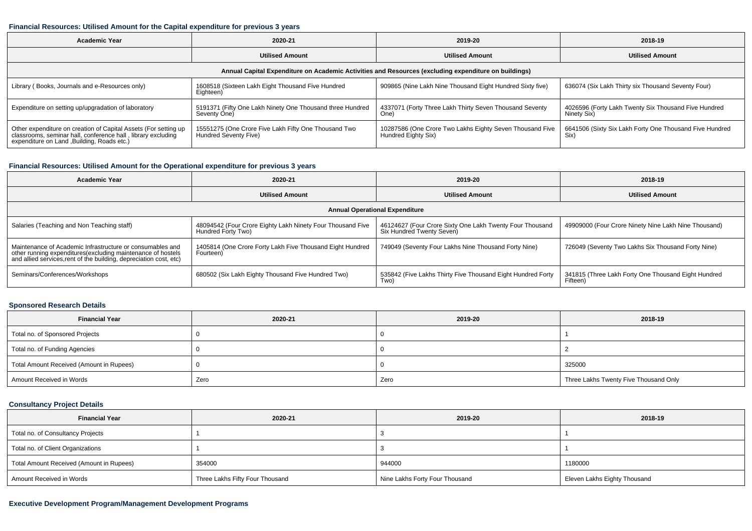#### **Financial Resources: Utilised Amount for the Capital expenditure for previous 3 years**

| Academic Year                                                                                                                                                                  | 2020-21                                                                       |                                                                                 | 2018-19                                                             |  |  |  |  |  |  |
|--------------------------------------------------------------------------------------------------------------------------------------------------------------------------------|-------------------------------------------------------------------------------|---------------------------------------------------------------------------------|---------------------------------------------------------------------|--|--|--|--|--|--|
|                                                                                                                                                                                | <b>Utilised Amount</b>                                                        | <b>Utilised Amount</b>                                                          | <b>Utilised Amount</b>                                              |  |  |  |  |  |  |
| Annual Capital Expenditure on Academic Activities and Resources (excluding expenditure on buildings)                                                                           |                                                                               |                                                                                 |                                                                     |  |  |  |  |  |  |
| Library (Books, Journals and e-Resources only)                                                                                                                                 | 1608518 (Sixteen Lakh Eight Thousand Five Hundred<br>Eighteen)                | 909865 (Nine Lakh Nine Thousand Eight Hundred Sixty five)                       | 636074 (Six Lakh Thirty six Thousand Seventy Four)                  |  |  |  |  |  |  |
| Expenditure on setting up/upgradation of laboratory                                                                                                                            | 5191371 (Fifty One Lakh Ninety One Thousand three Hundred<br>Seventy One)     | 4337071 (Forty Three Lakh Thirty Seven Thousand Seventy<br>One)                 | 4026596 (Forty Lakh Twenty Six Thousand Five Hundred<br>Ninety Six) |  |  |  |  |  |  |
| Other expenditure on creation of Capital Assets (For setting up<br>classrooms, seminar hall, conference hall, library excluding<br>expenditure on Land , Building, Roads etc.) | 15551275 (One Crore Five Lakh Fifty One Thousand Two<br>Hundred Seventy Five) | 10287586 (One Crore Two Lakhs Eighty Seven Thousand Five<br>Hundred Eighty Six) | 6641506 (Sixty Six Lakh Forty One Thousand Five Hundred<br>Six)     |  |  |  |  |  |  |

## **Financial Resources: Utilised Amount for the Operational expenditure for previous 3 years**

| <b>Academic Year</b>                                                                                                                                                                            | 2020-21                                                                          | 2019-20                                                                               | 2018-19                                                         |  |  |  |  |  |  |
|-------------------------------------------------------------------------------------------------------------------------------------------------------------------------------------------------|----------------------------------------------------------------------------------|---------------------------------------------------------------------------------------|-----------------------------------------------------------------|--|--|--|--|--|--|
| <b>Utilised Amount</b>                                                                                                                                                                          |                                                                                  | <b>Utilised Amount</b>                                                                | <b>Utilised Amount</b>                                          |  |  |  |  |  |  |
| <b>Annual Operational Expenditure</b>                                                                                                                                                           |                                                                                  |                                                                                       |                                                                 |  |  |  |  |  |  |
| Salaries (Teaching and Non Teaching staff)                                                                                                                                                      | 48094542 (Four Crore Eighty Lakh Ninety Four Thousand Five<br>Hundred Forty Two) | 46124627 (Four Crore Sixty One Lakh Twenty Four Thousand<br>Six Hundred Twenty Seven) | 49909000 (Four Crore Ninety Nine Lakh Nine Thousand)            |  |  |  |  |  |  |
| Maintenance of Academic Infrastructure or consumables and<br>other running expenditures (excluding maintenance of hostels<br>and allied services, rent of the building, depreciation cost, etc) | 1405814 (One Crore Forty Lakh Five Thousand Eight Hundred<br>Fourteen)           | 749049 (Seventy Four Lakhs Nine Thousand Forty Nine)                                  | 726049 (Seventy Two Lakhs Six Thousand Forty Nine)              |  |  |  |  |  |  |
| Seminars/Conferences/Workshops                                                                                                                                                                  | 680502 (Six Lakh Eighty Thousand Five Hundred Two)                               | 535842 (Five Lakhs Thirty Five Thousand Eight Hundred Forty<br>Two)                   | 341815 (Three Lakh Forty One Thousand Eight Hundred<br>Fifteen) |  |  |  |  |  |  |

## **Sponsored Research Details**

| <b>Financial Year</b>                    | 2020-21 | 2019-20 | 2018-19                               |
|------------------------------------------|---------|---------|---------------------------------------|
| Total no. of Sponsored Projects          |         |         |                                       |
| Total no. of Funding Agencies            |         |         |                                       |
| Total Amount Received (Amount in Rupees) |         |         | 325000                                |
| Amount Received in Words                 | Zero    | Zero    | Three Lakhs Twenty Five Thousand Only |

## **Consultancy Project Details**

| <b>Financial Year</b>                    | 2020-21                         | 2019-20                        | 2018-19                      |
|------------------------------------------|---------------------------------|--------------------------------|------------------------------|
| Total no. of Consultancy Projects        |                                 |                                |                              |
| Total no. of Client Organizations        |                                 |                                |                              |
| Total Amount Received (Amount in Rupees) | 354000                          | 944000                         | 1180000                      |
| Amount Received in Words                 | Three Lakhs Fifty Four Thousand | Nine Lakhs Forty Four Thousand | Eleven Lakhs Eighty Thousand |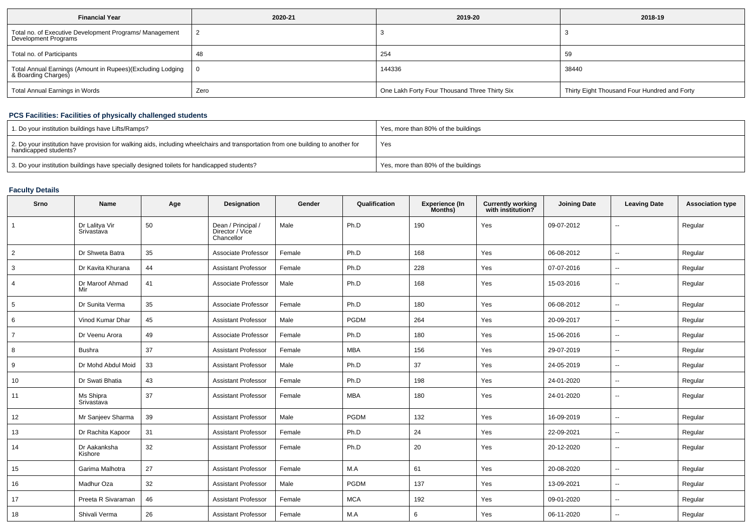| <b>Financial Year</b>                                                             | 2020-21 | 2019-20                                       | 2018-19                                      |  |
|-----------------------------------------------------------------------------------|---------|-----------------------------------------------|----------------------------------------------|--|
| Total no. of Executive Development Programs/ Management<br>Development Programs   |         |                                               |                                              |  |
| Total no. of Participants                                                         |         | 254                                           | 59                                           |  |
| Total Annual Earnings (Amount in Rupees)(Excluding Lodging<br>& Boarding Charges) |         | 144336                                        | 38440                                        |  |
| Total Annual Earnings in Words                                                    | Zero    | One Lakh Forty Four Thousand Three Thirty Six | Thirty Eight Thousand Four Hundred and Forty |  |

## **PCS Facilities: Facilities of physically challenged students**

| 1. Do your institution buildings have Lifts/Ramps?                                                                                                         | Yes, more than 80% of the buildings |
|------------------------------------------------------------------------------------------------------------------------------------------------------------|-------------------------------------|
| 2. Do your institution have provision for walking aids, including wheelchairs and transportation from one building to another for<br>handicapped students? | Yes                                 |
| 3. Do your institution buildings have specially designed toilets for handicapped students?                                                                 | Yes, more than 80% of the buildings |

## **Faculty Details**

| Srno           | <b>Name</b>                  | Age | Designation                                         | Gender | Qualification | <b>Experience (In</b><br>Months) | <b>Currently working</b><br>with institution? | <b>Joining Date</b> | <b>Leaving Date</b>      | <b>Association type</b> |
|----------------|------------------------------|-----|-----------------------------------------------------|--------|---------------|----------------------------------|-----------------------------------------------|---------------------|--------------------------|-------------------------|
| $\overline{1}$ | Dr Lalitya Vir<br>Srivastava | 50  | Dean / Principal /<br>Director / Vice<br>Chancellor | Male   | Ph.D          | 190                              | Yes                                           | 09-07-2012          | $-$                      | Regular                 |
| $\overline{2}$ | Dr Shweta Batra              | 35  | Associate Professor                                 | Female | Ph.D          | 168                              | Yes                                           | 06-08-2012          | $\mathbf{u}$             | Regular                 |
| 3              | Dr Kavita Khurana            | 44  | <b>Assistant Professor</b>                          | Female | Ph.D          | 228                              | Yes                                           | 07-07-2016          | ۰.                       | Regular                 |
| $\overline{4}$ | Dr Maroof Ahmad<br>Mir       | 41  | Associate Professor                                 | Male   | Ph.D          | 168                              | Yes                                           | 15-03-2016          | $\overline{\phantom{a}}$ | Regular                 |
| 5              | Dr Sunita Verma              | 35  | Associate Professor                                 | Female | Ph.D          | 180                              | Yes                                           | 06-08-2012          | $\overline{\phantom{a}}$ | Regular                 |
| 6              | Vinod Kumar Dhar             | 45  | <b>Assistant Professor</b>                          | Male   | PGDM          | 264                              | Yes                                           | 20-09-2017          | $\sim$                   | Regular                 |
| $\overline{7}$ | Dr Veenu Arora               | 49  | Associate Professor                                 | Female | Ph.D          | 180                              | Yes                                           | 15-06-2016          | $\overline{\phantom{a}}$ | Regular                 |
| 8              | <b>Bushra</b>                | 37  | <b>Assistant Professor</b>                          | Female | <b>MBA</b>    | 156                              | Yes                                           | 29-07-2019          | $\overline{\phantom{a}}$ | Regular                 |
| 9              | Dr Mohd Abdul Moid           | 33  | <b>Assistant Professor</b>                          | Male   | Ph.D          | 37                               | Yes                                           | 24-05-2019          | $\overline{\phantom{a}}$ | Regular                 |
| 10             | Dr Swati Bhatia              | 43  | <b>Assistant Professor</b>                          | Female | Ph.D          | 198                              | Yes                                           | 24-01-2020          | $\overline{\phantom{a}}$ | Regular                 |
| 11             | Ms Shipra<br>Srivastava      | 37  | <b>Assistant Professor</b>                          | Female | <b>MBA</b>    | 180                              | Yes                                           | 24-01-2020          | --                       | Regular                 |
| 12             | Mr Sanjeev Sharma            | 39  | <b>Assistant Professor</b>                          | Male   | <b>PGDM</b>   | 132                              | Yes                                           | 16-09-2019          | ۰.                       | Regular                 |
| 13             | Dr Rachita Kapoor            | 31  | <b>Assistant Professor</b>                          | Female | Ph.D          | 24                               | Yes                                           | 22-09-2021          | $\overline{\phantom{a}}$ | Regular                 |
| 14             | Dr Aakanksha<br>Kishore      | 32  | <b>Assistant Professor</b>                          | Female | Ph.D          | 20                               | Yes                                           | 20-12-2020          | $-$                      | Regular                 |
| 15             | Garima Malhotra              | 27  | <b>Assistant Professor</b>                          | Female | M.A           | 61                               | Yes                                           | 20-08-2020          | $\mathbf{u}$             | Regular                 |
| 16             | Madhur Oza                   | 32  | <b>Assistant Professor</b>                          | Male   | PGDM          | 137                              | Yes                                           | 13-09-2021          | $\mathbf{u}$             | Regular                 |
| 17             | Preeta R Sivaraman           | 46  | <b>Assistant Professor</b>                          | Female | <b>MCA</b>    | 192                              | Yes                                           | 09-01-2020          | $\overline{a}$           | Regular                 |
| 18             | Shivali Verma                | 26  | <b>Assistant Professor</b>                          | Female | M.A           | 6                                | Yes                                           | 06-11-2020          | $\mathbf{u}$             | Regular                 |